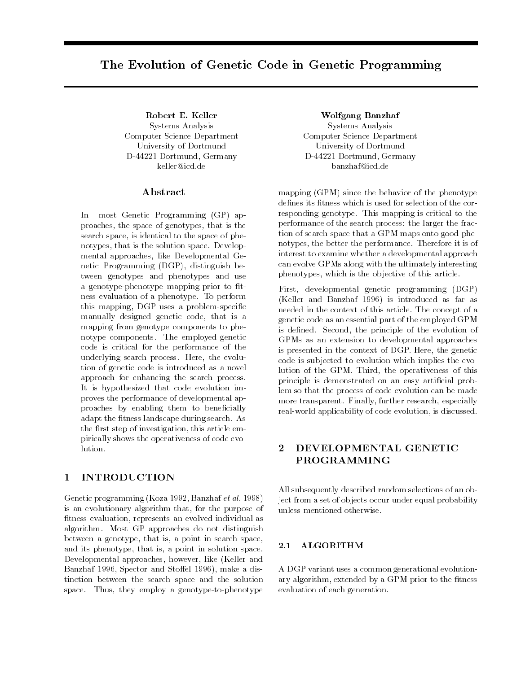# The Evolution of Genetic Code in Genetic Programming

Robert E. Keller Systems Analysis Computer Science Department University of Dortmund D-44221 Dortmund, Germany keller@icd.de

#### Abstract

In most Genetic Programming (GP) approaches, the space of genotypes, that is the search space, is identical to the space of phenotypes, that is the solution space. Develop mental approaches, like Developmental Genetic Programming (DGP), distinguish between genotypes and phenotypes and use a genotype-phenotype mapping prior to fitness evaluation of a phenotype. To perform this mapping, DGP uses a problem-specific manually designed genetic code, that is a mapping from genotype components to phenotype components. The employed genetic code is critical for the performance of the underlying search process. Here, the evolution of genetic code is introduced as a novel approach for enhancing the search process. It is hypothesized that code evolution improves the performance of developmental approaches by enabling them to beneficially adapt the fitness landscape during search. As the first step of investigation, this article empirically shows the operativeness of code evolution.

#### 1 INTRODUCTION

Genetic programming (Koza 1992, Banzhaf et al. 1998) is an evolutionary algorithm that, for the purpose of fitness evaluation, represents an evolved individual as algorithm. Most GP approaches do not distinguish between a genotype, that is, a point in search space, and its phenotype, that is, a point in solution space. Developmental approaches, however, like (Keller and Banzhaf 1996, Spector and Stoffel 1996), make a distinction between the search space and the solution space. Thus, they employ a genotype-to-phenotype

Wolfgang Banzhaf Systems Analysis Computer Science Department University of Dortmund D-44221 Dortmund, Germany banzhaf@icd.de

mapping (GPM) since the behavior of the phenotype defines its fitness which is used for selection of the corresponding genotype. This mapping is critical to the performance of the search process: the larger the fraction of search space that a GPM maps onto good phenotypes, the better the performance. Therefore it is of interest to examine whether a developmental approach can evolve GPMs along with the ultimately interesting phenotypes, which is the objective of this article.

First, developmental genetic programming (DGP) (Keller and Banzhaf 1996) is introduced as far as needed in the context of this article. The concept of a genetic code as an essential part of the employed GPM is defined. Second, the principle of the evolution of GPMs as an extension to developmental approaches is presented in the context of DGP. Here, the genetic code is subjected to evolution which implies the evolution of the GPM. Third, the operativeness of this principle is demonstrated on an easy artificial problem so that the process of code evolution can be made more transparent. Finally, further research, especially real-world applicability of code evolution, is discussed.

#### 2 DEVELOPMENTAL GENETIC PROGRAMMING

All subsequently described random selections of an object from a set of objects occur under equal probability unless mentioned otherwise.

#### 2.1 ALGORITHM

A DGP variant uses a common generational evolutionary algorithm, extended by a GPM prior to the fitness evaluation of each generation.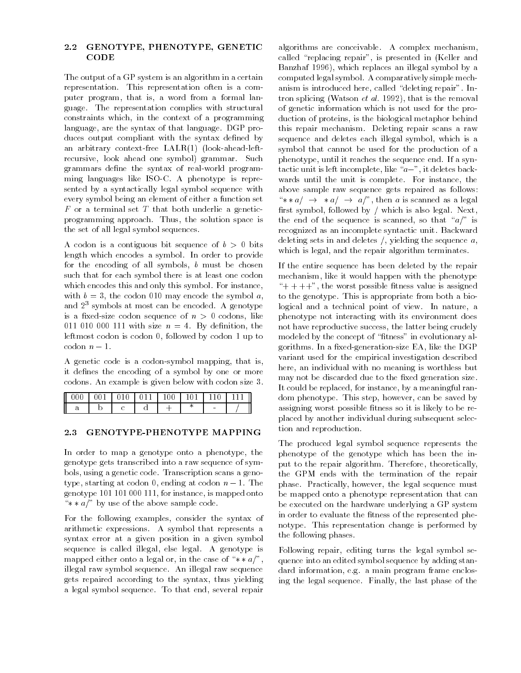#### 2.2 GENOTYPE, PHENOTYPE, GENETIC CODE

The output of a GP system is an algorithm in a certain representation. This representation often is a computer program, that is, a word from a formal language. The representation complies with structural constraints which, in the context of a programming language, are the syntax of that language. DGP produces output compliant with the syntax defined by an arbitrary context-free LALR(1) (look-ahead-leftrecursive, look ahead one symbol) grammar. Such grammars define the syntax of real-world programming languages like ISO-C. A phenotype is represented by a syntactically legal symbol sequence with every symbol being an element of either a function set F or a terminal set <sup>T</sup> that both underlie a geneticprogramming approach. Thus, the solution space is the set of all legal symbol sequences.

A codon is a contiguous bit sequence of  $b > 0$  bits length which encodes a symbol. In order to provide for the encoding of all symbols,  $b$  must be chosen such that for each symbol there is at least one codon which encodes this and only this symbol. For instance, with  $b = 3$ , the codon 010 may encode the symbol a, and 23 symbols at most can be encoded. A genotype is a fixed-size codon sequence of  $n > 0$  codons, like 011 010 000 111 with size  $n = 4$ . By definition, the leftmost codon is codon 0, followed by codon 1 up to  $codon n-1$ .

A genetic code is a codon-symbol mapping, that is, it defines the encoding of a symbol by one or more codons. An example is given below with codon size 3.

| II | <b>L</b> 0.10 | $\mathbf{u}$ | $100 -$ | 101 L L |  |
|----|---------------|--------------|---------|---------|--|
|    |               |              |         |         |  |

#### 2.3 GENOTYPE-PHENOTYPE MAPPING

In order to map a genotype onto a phenotype, the genotype gets transcribed into a raw sequence of symbols, using a genetic code. Transcription scans a genotype, starting at codon 0, ending at codon  $n - 1$ . The genotype 101 101 000 111, for instance, is mapped onto " $\ast \ast a$ " by use of the above sample code.

For the following examples, consider the syntax of arithmetic expressions. A symbol that represents a syntax error at a given position in a given symbol sequence is called illegal, else legal. A genotype is mapped either onto a legal or, in the case of " $* * a$ ", illegal raw symbol sequence. An illegal raw sequence gets repaired according to the syntax, thus yielding a legal symbol sequence. To that end, several repair

algorithms are conceivable. A complex mechanism, called "replacing repair", is presented in (Keller and Banzhaf 1996), which replaces an illegal symbol by a computed legal symbol. A comparatively simple mechanism is introduced here, called "deleting repair". Intron splicing (Watson et al. 1992), that is the removal of genetic information which is not used for the production of proteins, is the biological metaphor behind this repair mechanism. Deleting repair scans a raw sequence and deletes each illegal symbol, which is a symbol that cannot be used for the production of a phenotype, until it reaches the sequence end. If a syntactic unit is left incomplete, like " $a-$ ", it deletes backwards until the unit is complete. For instance, the above sample raw sequence gets repaired as follows: "\* \*  $a/\rightarrow$  \*  $a/\rightarrow a$ ", then a is scanned as a legal first symbol, followed by  $/$  which is also legal. Next, the end of the sequence is scanned, so that " $a$ " is recognized as an incomplete syntactic unit. Backward deleting sets in and deletes  $/$ , yielding the sequence  $a$ , which is legal, and the repair algorithm terminates.

If the entire sequence has been deleted by the repair mechanism, like it would happen with the phenotype  $+ + +$ ", the worst possible fitness value is assigned to the genotype. This is appropriate from both a biological and a technical point of view. In nature, a phenotype not interacting with its environment does not have reproductive success, the latter being crudely modeled by the concept of "fitness" in evolutionary algorithms. In a fixed-generation-size EA, like the DGP variant used for the empirical investigation described here, an individual with no meaning is worthless but may not be discarded due to the fixed generation size. It could be replaced, for instance, by a meaningful random phenotype. This step, however, can be saved by assigning worst possible fitness so it is likely to be replaced by another individual during subsequent selection and reproduction.

The produced legal symbol sequence represents the phenotype of the genotype which has been the input to the repair algorithm. Therefore, theoretically, the GPM ends with the termination of the repair phase. Practically, however, the legal sequence must be mapped onto a phenotype representation that can be executed on the hardware underlying a GP system in order to evaluate the fitness of the represented phenotype. This representation change is performed by the following phases.

Following repair, editing turns the legal symbol sequence into an edited symbol sequence by adding standard information, e.g. a main program frame enclosing the legal sequence. Finally, the last phase of the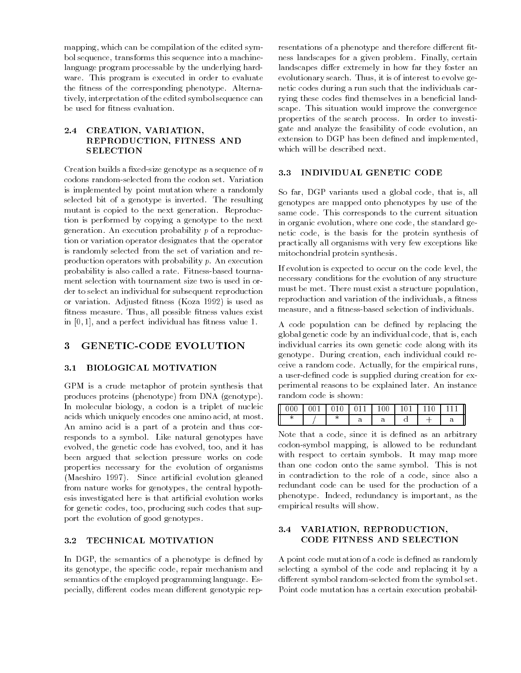mapping, which can be compilation of the edited symbol sequence, transforms this sequence into a machinelanguage program processable by the underlying hard ware. This program is executed in order to evaluate the fitness of the corresponding phenotype. Alternatively, interpretation of the edited symbol sequence can be used for fitness evaluation.

#### 2.4 CREATION, VARIATION, REPRODUCTION, FITNESS AND **SELECTION**

Creation builds a fixed-size genotype as a sequence of  $n = 3.3$ codons random-selected from the codon set. Variation is implemented by point mutation where a randomly selected bit of a genotype is inverted. The resulting mutant is copied to the next generation. Reproduction is performed by copying a genotype to the next generation. An execution probability  $p$  of a reproduction or variation operator designates that the operator is randomly selected from the set of variation and reproduction operators with probability p. An execution probability is also called a rate. Fitness-based tourna ment selection with tournament size two is used in order to select an individual for subsequent reproduction or variation. Adjusted fitness (Koza 1992) is used as fitness measure. Thus, all possible fitness values exist in  $[0, 1]$ , and a perfect individual has fitness value 1.

## 3 GENETIC-CODE EVOLUTION

#### 3.1 BIOLOGICAL MOTIVATION

GPM is a crude metaphor of protein synthesis that produces proteins (phenotype) from DNA (genotype). In molecular biology, a codon is a triplet of nucleic acids which uniquely encodes one amino acid, at most. An amino acid is a part of a protein and thus corresponds to a symbol. Like natural genotypes have evolved, the genetic code has evolved, too, and it has been argued that selection pressure works on code properties necessary for the evolution of organisms (Maeshiro 1997). Since artificial evolution gleaned from nature works for genotypes, the central hypothesis investigated here is that articial evolution works for genetic codes, too, producing such codes that support the evolution of good genotypes.

#### 3.2 TECHNICAL MOTIVATION

In DGP, the semantics of a phenotype is defined by its genotype, the specific code, repair mechanism and semantics of the employed programming language. Especially, different codes mean different genotypic rep-

resentations of a phenotype and therefore different fitness landscapes for a given problem. Finally, certain landscapes differ extremely in how far they foster an evolutionary search. Thus, it is of interest to evolve genetic codes during a run such that the individuals carrying these codes find themselves in a beneficial landscape. This situation would improve the convergence properties of the search process. In order to investigate and analyze the feasibility of code evolution, an extension to DGP has been defined and implemented, which will be described next.

So far, DGP variants used a global code, that is, all genotypes are mapped onto phenotypes by use of the same code. This corresponds to the current situation in organic evolution, where one code, the standard genetic code, is the basis for the protein synthesis of practically all organisms with very few exceptions like mitochondrial protein synthesis.

If evolution is expected to occur on the code level, the necessary conditions for the evolution of any structure must be met. There must exist a structure population, reproduction and variation of the individuals, a fitness measure, and a fitness-based selection of individuals.

A code population can be defined by replacing the global genetic code by an individual code, that is, each individual carries its own genetic code along with its genotype. During creation, each individual could receive a random code. Actually, for the empirical runs, a user-defined code is supplied during creation for experimental reasons to be explained later. An instance random code is shown:

| 000 <sub>1</sub> | $\vert 001 \vert 010 \vert 011 \vert 100 \vert$ |   |   |   | $101$ 110 |   |
|------------------|-------------------------------------------------|---|---|---|-----------|---|
|                  |                                                 | ີ | α | ∽ |           | u |

Note that a code, since it is defined as an arbitrary codon-symbol mapping, is allowed to be redundant with respect to certain symbols. It may map more than one codon onto the same symbol. This is not in contradiction to the role of a code, since also a redundant code can be used for the production of a phenotype. Indeed, redundancy is important, as the empirical results will show.

#### 3.4 VARIATION, REPRODUCTION, CODE FITNESS AND SELECTION

A point code mutation of a code is defined as randomly selecting a symbol of the code and replacing it by a different symbol random-selected from the symbol set. Point code mutation has a certain execution probabil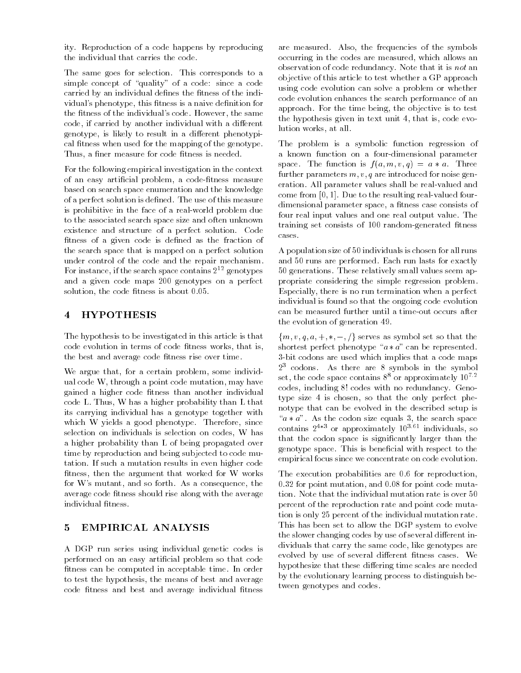ity. Reproduction of a code happens by reproducing the individual that carries the code.

The same goes for selection. This corresponds to a simple concept of "quality" of a code: since a code carried by an individual defines the fitness of the individual's phenotype, this fitness is a naive definition for the fitness of the individual's code. However, the same code, if carried by another individual with a different genotype, is likely to result in a different phenotypical fitness when used for the mapping of the genotype. Thus, a finer measure for code fitness is needed.

For the following empirical investigation in the context of an easy artificial problem, a code-fitness measure based on search space enumeration and the knowledge of a perfect solution is defined. The use of this measure is prohibitive in the face of a real-world problem due to the associated search space size and often unknown existence and structure of a perfect solution. Code fitness of a given code is defined as the fraction of the search space that is mapped on a perfect solution under control of the code and the repair mechanism. For instance, if the search space contains  $2^{12}$  genotypes and a given code maps 200 genotypes on a perfect solution, the code fitness is about 0.05.

#### 4 HYPOTHESIS

The hypothesis to be investigated in this article is that code evolution in terms of code fitness works, that is, the best and average code fitness rise over time.

We argue that, for a certain problem, some individual code W, through a point code mutation, may have gained a higher code fitness than another individual code L. Thus, W has a higher probability than L that its carrying individual has a genotype together with which W yields a good phenotype. Therefore, since selection on individuals is selection on codes, W has a higher probability than L of being propagated over time by reproduction and being subjected to code mutation. If such a mutation results in even higher code fitness, then the argument that worked for W works for W's mutant, and so forth. As a consequence, the average code fitness should rise along with the average individual fitness.

## 5 EMPIRICAL ANALYSIS

A DGP run series using individual genetic codes is performed on an easy articial problem so that code fitness can be computed in acceptable time. In order to test the hypothesis, the means of best and average code fitness and best and average individual fitness

are measured. Also, the frequencies of the symbols occurring in the codes are measured, which allows an observation of code redundancy. Note that it is not an objective of this article to test whether a GP approach using code evolution can solve a problem or whether code evolution enhances the search performance of an approach. For the time being, the objective is to test the hypothesis given in text unit 4, that is, code evolution works, at all.

The problem is a symbolic function regression of a known function on a four-dimensional parameter space. The function is  $f(a, m, v, q) = a * a$ . Three further parameters  $m, v, q$  are introduced for noise generation. All parameter values shall be real-valued and come from [0; 1]. Due to the resulting real-valued fourdimensional parameter space, a fitness case consists of four real input values and one real output value. The training set consists of 100 random-generated fitness cases.

A population size of 50 individuals is chosen for all runs and 50 runs are performed. Each run lasts for exactly 50 generations. These relatively small values seem appropriate considering the simple regression problem. Especially, there is no run termination when a perfect individual is found so that the ongoing code evolution can be measured further until a time-out occurs after the evolution of generation 49.

 ${m, v, q, a, +, *,-, /}$  serves as symbol set so that the shortest perfect phenotype " $a * a$ " can be represented. 3-bit codons are used which implies that a code maps  $2<sup>3</sup>$  codons. As there are 8 symbols in the symbol set, the code space contains  $8^8$  or approximately  $10^{7.2}$ codes, including 8! codes with no redundancy. Genotype size 4 is chosen, so that the only perfect phenotype that can be evolved in the described setup is " $a * a$ ". As the codon size equals 3, the search space contains  $2^{4*3}$  or approximately  $10^{3.61}$  individuals, so that the codon space is signicantly larger than the genotype space. This is beneficial with respect to the empirical focus since we concentrate on code evolution.

The execution probabilities are 0.6 for reproduction, 0.32 for point mutation, and 0.08 for point code mutation. Note that the individual mutation rate is over 50 percent of the reproduction rate and point code mutation is only 25 percent of the individual mutation rate. This has been set to allow the DGP system to evolve the slower changing codes by use of several different individuals that carry the same code, like genotypes are evolved by use of several different fitness cases. We hypothesize that these differing time scales are needed by the evolutionary learning process to distinguish between genotypes and codes.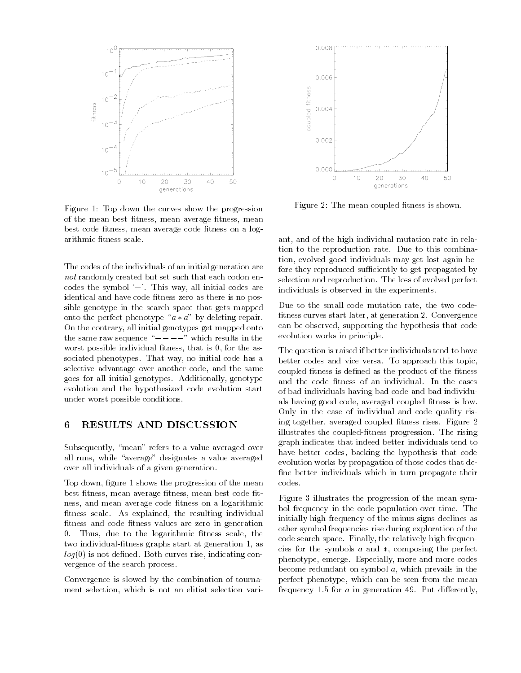

Figure 1: Top down the curves show the progression of the mean best fitness, mean average fitness, mean best code fitness, mean average code fitness on a logarithmic fitness scale.

The codes of the individuals of an initial generation are not randomly created but set such that each codon encodes the symbol  $\left(-\right)$ . This way, all initial codes are identical and have code fitness zero as there is no possible genotype in the search space that gets mapped onto the perfect phenotype " $a * a$ " by deleting repair. On the contrary, all initial genotypes get mapped onto the same raw sequence " $---$ " which results in the worst possible individual fitness, that is  $0$ , for the associated phenotypes. That way, no initial code has a selective advantage over another code, and the same goes for all initial genotypes. Additionally, genotype evolution and the hypothesized code evolution start under worst possible conditions.

#### 6 RESULTS AND DISCUSSION

Subsequently, "mean" refers to a value averaged over all runs, while "average" designates a value averaged over all individuals of a given generation.

Top down, figure 1 shows the progression of the mean best fitness, mean average fitness, mean best code fitness, and mean average code fitness on a logarithmic fitness scale. As explained, the resulting individual fitness and code fitness values are zero in generation 0. Thus, due to the logarithmic fitness scale, the two individual-fitness graphs start at generation 1, as  $log(0)$  is not defined. Both curves rise, indicating convergence of the search process.

Convergence is slowed by the combination of tourna ment selection, which is not an elitist selection vari-



Figure 2: The mean coupled fitness is shown.

ant, and of the high individual mutation rate in relation to the reproduction rate. Due to this combination, evolved good individuals may get lost again before they reproduced sufficiently to get propagated by selection and reproduction. The loss of evolved perfect individuals is observed in the experiments.

Due to the small code mutation rate, the two code fitness curves start later, at generation 2. Convergence can be observed, supporting the hypothesis that code evolution works in principle.

The question is raised if better individuals tend to have better codes and vice versa. To approach this topic, coupled fitness is defined as the product of the fitness and the code fitness of an individual. In the cases of bad individuals having bad code and bad individuals having good code, averaged coupled fitness is low. Only in the case of individual and code quality rising together, averaged coupled fitness rises. Figure 2 illustrates the coupled-fitness progression. The rising graph indicates that indeed better individuals tend to have better codes, backing the hypothesis that code evolution works by propagation of those codes that de fine better individuals which in turn propagate their codes.

Figure 3 illustrates the progression of the mean symbol frequency in the code population over time. The initially high frequency of the minus signs declines as other symbol frequencies rise during exploration of the code search space. Finally, the relatively high frequencies for the symbols  $a$  and  $*$ , composing the perfect phenotype, emerge. Especially, more and more codes become redundant on symbol  $a$ , which prevails in the perfect phenotype, which can be seen from the mean frequency 1.5 for  $a$  in generation 49. Put differently,